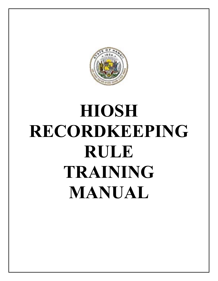

# **HIOSH RECORDKEEPING RULE TRAINING MANUAL**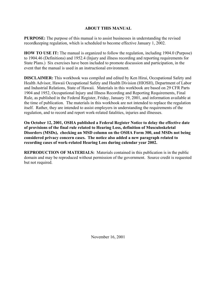# **ABOUT THIS MANUAL**

**PURPOSE:** The purpose of this manual is to assist businesses in understanding the revised recordkeeping regulation, which is scheduled to become effective January 1, 2002.

**HOW TO USE IT:** The manual is organized to follow the regulation, including 1904.0 (Purpose) to 1904.46 (Definitions) and 1952.4 (Injury and illness recording and reporting requirements for State Plans.) Six exercises have been included to promote discussion and participation, in the event that the manual is used in an instructional environment.

**DISCLAIMER:** This workbook was compiled and edited by Ken Hirai, Occupational Safety and Health Advisor, Hawaii Occupational Safety and Health Division (HIOSH), Department of Labor and Industrial Relations, State of Hawaii. Materials in this workbook are based on 29 CFR Parts 1904 and 1952, Occupational Injury and Illness Recording and Reporting Requirements, Final Rule, as published in the Federal Register, Friday, January 19, 2001, and information available at the time of publication. The materials in this workbook are not intended to replace the regulation itself. Rather, they are intended to assist employers in understanding the requirements of the regulation, and to record and report work-related fatalities, injuries and illnesses.

**On October 12, 2001, OSHA published a Federal Register Notice to delay the effective date of provisions of the final rule related to Hearing Loss, definition of Musculoskeletal Disorders (MSDs), checking an MSD column on the OSHA Form 300, and MSDs not being considered privacy concern cases. The notice also added a new paragraph related to recording cases of work-related Hearing Loss during calendar year 2002.**

**REPRODUCTION OF MATERIALS:** Materials contained in this publication is in the public domain and may be reproduced without permission of the government. Source credit is requested but not required.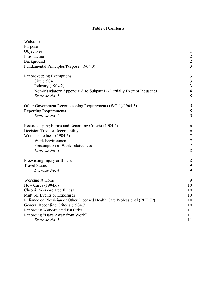# **Table of Contents**

| Welcome                                                                  | 1                |
|--------------------------------------------------------------------------|------------------|
| Purpose                                                                  | $\mathbf{1}$     |
| Objectives                                                               | $\mathbf{1}$     |
| Introduction                                                             | $\sqrt{2}$       |
| Background                                                               | $\overline{2}$   |
| Fundamental Principles/Purpose (1904.0)                                  | $\overline{3}$   |
| Recordkeeping Exemptions                                                 | 3                |
| Size (1904.1)                                                            | $\mathfrak{Z}$   |
| <b>Industry</b> (1904.2)                                                 | $\overline{3}$   |
| Non-Mandatory Appendix A to Subpart B - Partially Exempt Industries      | $\overline{4}$   |
| Exercise No. 1                                                           | 5                |
| Other Government Recordkeeping Requirements (WC-1)(1904.3)               | 5                |
| <b>Reporting Requirements</b>                                            | 5                |
| Exercise No. 2                                                           | $\overline{5}$   |
| Recordkeeping Forms and Recording Criteria (1904.4)                      | 6                |
| Decision Tree for Recordability                                          | 6                |
| Work-relatedness (1904.5)                                                | $\tau$           |
| <b>Work Environment</b>                                                  | $\boldsymbol{7}$ |
| Presumption of Work-relatedness                                          | $\overline{7}$   |
| Exercise No. 3                                                           | 8                |
| Preexisting Injury or Illness                                            | 8                |
| <b>Travel Status</b>                                                     | 9                |
| Exercise No. 4                                                           | 9                |
| Working at Home                                                          | 9                |
| New Cases (1904.6)                                                       | 10               |
| Chronic Work-related Illness                                             | 10               |
| Multiple Events or Exposures                                             | 10               |
| Reliance on Physician or Other Licensed Health Care Professional (PLHCP) | 10               |
| General Recording Criteria (1904.7)                                      | 10               |
| Recording Work-related Fatalities                                        | 11               |
| Recording "Days Away from Work"                                          | 11               |
| Exercise No. 5                                                           | 11               |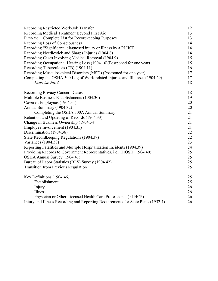| Recording Restricted Work/Job Transfer                                                                                                                    | 12 |  |  |  |  |                                                    |    |
|-----------------------------------------------------------------------------------------------------------------------------------------------------------|----|--|--|--|--|----------------------------------------------------|----|
| Recording Medical Treatment Beyond First Aid                                                                                                              | 13 |  |  |  |  |                                                    |    |
| First-aid – Complete List for Recordkeeping Purposes<br>Recording Loss of Consciousness<br>Recording "Significant" diagnosed injury or illness by a PLHCP |    |  |  |  |  |                                                    |    |
|                                                                                                                                                           |    |  |  |  |  | Recording Needlestick and Sharps Injuries (1904.8) | 14 |
|                                                                                                                                                           |    |  |  |  |  | Recording Cases Involving Medical Removal (1904.9) | 15 |
| Recording Occupational Hearing Loss (1904.10)(Postponed for one year)                                                                                     | 15 |  |  |  |  |                                                    |    |
| Recording Tuberculosis (TB) (1904.11)                                                                                                                     | 16 |  |  |  |  |                                                    |    |
| Recording Musculoskeletal Disorders (MSD) (Postponed for one year)                                                                                        | 17 |  |  |  |  |                                                    |    |
| Completing the OSHA 300 Log of Work-related Injuries and Illnesses (1904.29)                                                                              | 17 |  |  |  |  |                                                    |    |
| Exercise No. 6                                                                                                                                            | 18 |  |  |  |  |                                                    |    |
| <b>Recording Privacy Concern Cases</b>                                                                                                                    | 18 |  |  |  |  |                                                    |    |
| Multiple Business Establishments (1904.30)                                                                                                                | 19 |  |  |  |  |                                                    |    |
| Covered Employees (1904.31)                                                                                                                               | 20 |  |  |  |  |                                                    |    |
| Annual Summary (1904.32)                                                                                                                                  | 20 |  |  |  |  |                                                    |    |
| Completing the OSHA 300A Annual Summary                                                                                                                   | 21 |  |  |  |  |                                                    |    |
| Retention and Updating of Records (1904.33)                                                                                                               | 21 |  |  |  |  |                                                    |    |
| Change in Business Ownership (1904.34)                                                                                                                    | 21 |  |  |  |  |                                                    |    |
| Employee Involvement (1904.35)                                                                                                                            | 21 |  |  |  |  |                                                    |    |
| Discrimination (1904.36)                                                                                                                                  | 22 |  |  |  |  |                                                    |    |
| State Recordkeeping Regulations (1904.37)                                                                                                                 | 22 |  |  |  |  |                                                    |    |
| <b>Variances</b> (1904.38)                                                                                                                                | 23 |  |  |  |  |                                                    |    |
| Reporting Fatalities and Multiple Hospitalization Incidents (1904.39)                                                                                     | 24 |  |  |  |  |                                                    |    |
| Providing Records to Government Representatives, i.e., HIOSH (1904.40)                                                                                    | 25 |  |  |  |  |                                                    |    |
| OSHA Annual Survey (1904.41)                                                                                                                              | 25 |  |  |  |  |                                                    |    |
| Bureau of Labor Statistics (BLS) Survey (1904.42)                                                                                                         | 25 |  |  |  |  |                                                    |    |
| <b>Transition from Previous Regulation</b>                                                                                                                | 25 |  |  |  |  |                                                    |    |
| Key Definitions (1904.46)                                                                                                                                 | 25 |  |  |  |  |                                                    |    |
| Establishment                                                                                                                                             | 25 |  |  |  |  |                                                    |    |
| Injury                                                                                                                                                    | 26 |  |  |  |  |                                                    |    |
| Illness                                                                                                                                                   | 26 |  |  |  |  |                                                    |    |
| Physician or Other Licensed Health Care Professional (PLHCP)                                                                                              | 26 |  |  |  |  |                                                    |    |
| Injury and Illness Recording and Reporting Requirements for State Plans (1952.4)                                                                          |    |  |  |  |  |                                                    |    |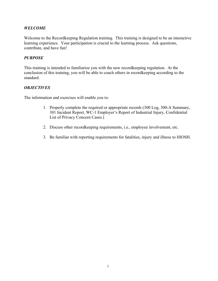# *WELCOME*

Welcome to the Recordkeeping Regulation training. This training is designed to be an interactive learning experience. Your participation is crucial to the learning process. Ask questions, contribute, and have fun!

# *PURPOSE*

This training is intended to familiarize you with the new recordkeeping regulation. At the conclusion of this training, you will be able to coach others in recordkeeping according to the standard.

# *OBJECTIVES*

The information and exercises will enable you to:

- 1. Properly complete the required or appropriate records (300 Log, 300-A Summary, 301 Incident Report, WC-1 Employer's Report of Industrial Injury, Confidential List of Privacy Concern Cases.)
- 2. Discuss other recordkeeping requirements, i.e., employee involvement, etc.
- 3. Be familiar with reporting requirements for fatalities, injury and illness to HIOSH.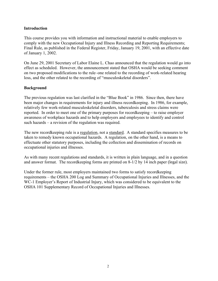# **Introduction**

This course provides you with information and instructional material to enable employers to comply with the new Occupational Injury and Illness Recording and Reporting Requirements; Final Rule, as published in the Federal Register, Friday, January 19, 2001, with an effective date of January 1, 2002.

On June 29, 2001 Secretary of Labor Elaine L. Chao announced that the regulation would go into effect as scheduled. However, the announcement stated that OSHA would be seeking comment on two proposed modifications to the rule–one related to the recording of work-related hearing loss, and the other related to the recording of "musculoskeletal disorders".

# **Background**

The previous regulation was last clarified in the "Blue Book" in 1986. Since then, there have been major changes in requirements for injury and illness recordkeeping. In 1986, for example, relatively few work-related musculoskeletal disorders, tuberculosis and stress claims were reported. In order to meet one of the primary purposes for recordkeeping – to raise employer awareness of workplace hazards and to help employers and employees to identify and control such hazards – a revision of the regulation was required.

The new recordkeeping rule is a regulation, not a standard. A standard specifies measures to be taken to remedy known occupational hazards. A regulation, on the other hand, is a means to effectuate other statutory purposes, including the collection and dissemination of records on occupational injuries and illnesses.

As with many recent regulations and standards, it is written in plain language, and in a question and answer format. The recordkeeping forms are printed on 8-1/2 by 14 inch paper (legal size).

Under the former rule, most employers maintained two forms to satisfy recordkeeping requirements – the OSHA 200 Log and Summary of Occupational Injuries and Illnesses, and the WC-1 Employer's Report of Industrial Injury, which was considered to be equivalent to the OSHA 101 Supplementary Record of Occupational Injuries and Illnesses.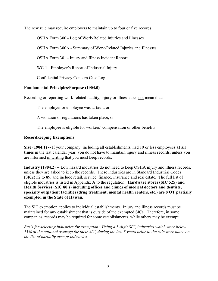The new rule may require employers to maintain up to four or five records:

OSHA Form 300 - Log of Work-Related Injuries and Illnesses

OSHA Form 300A - Summary of Work-Related Injuries and Illnesses

OSHA Form 301 - Injury and Illness Incident Report

WC-1 - Employer's Report of Industrial Injury

Confidential Privacy Concern Case Log

# **Fundamental Principles/Purpose (1904.0)**

Recording or reporting work-related fatality, injury or illness does not mean that:

The employer or employee was at fault, or

A violation of regulations has taken place, or

The employee is eligible for workers' compensation or other benefits

# **Recordkeeping Exemptions**

**Size (1904.1) --** If your company, including all establishments, had 10 or less employees **at all times** in the last calendar year, you do not have to maintain injury and illness records, unless you are informed in writing that you must keep records.

**Industry (1904.2) --** Low hazard industries do not need to keep OSHA injury and illness records, unless they are asked to keep the records. These industries are in Standard Industrial Codes (SICs) 52 to 89, and include retail, service, finance, insurance and real estate. The full list of eligible industries is listed in Appendix A to the regulation. **Hardware stores (SIC 525) and Health Services (SIC 80's) including offices and clinics of medical doctors and dentists, specialty outpatient facilities (drug treatment, mental health centers, etc.) are NOT partially exempted in the State of Hawaii.**

The SIC exemption applies to individual establishments. Injury and illness records must be maintained for any establishment that is outside of the exempted SICs. Therefore, in some companies, records may be required for some establishments, while others may be exempt.

*Basis for selecting industries for exemption: Using a 3-digit SIC, industries which were below 75% of the national average for their SIC, during the last 3 years prior to the rule were place on the list of partially exempt industries.*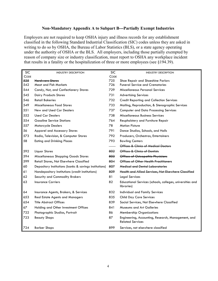## **Non-Mandatory Appendix A to Subpart B---Partially Exempt Industries**

Employers are not required to keep OSHA injury and illness records for any establishment classified in the following Standard Industrial Classification (SIC) codes unless they are asked in writing to do so by OSHA, the Bureau of Labor Statistics (BLS), or a state agency operating under the authority of OSHA or the BLS. All employers, including those partially exempted by reason of company size or industry classification, must report to OSHA any workplace incident that results in a fatality or the hospitalization of three or more employees (see §194.39).

| <b>SIC</b> | <b>INDUSTRY DESCRIPTION</b>                            | <b>SIC</b> | <b>INDUSTRY DESCRIPTION</b>                                                   |
|------------|--------------------------------------------------------|------------|-------------------------------------------------------------------------------|
| CODE       |                                                        | CODE       |                                                                               |
| 525        | <del>Hardware Stores</del>                             | 725        | Shoe Repair and Shoeshine Parlors                                             |
| 542        | <b>Meat and Fish Markets</b>                           | 726        | <b>Funeral Service and Crematories</b>                                        |
| 544        | Candy, Nut, and Confectionery Stores                   | 729        | <b>Miscellaneous Personal Services</b>                                        |
| 545        | <b>Dairy Products Stores</b>                           | 731        | <b>Advertising Services</b>                                                   |
| 546        | <b>Retail Bakeries</b>                                 | 732        | <b>Credit Reporting and Collection Services</b>                               |
| 549        | Miscellaneous Food Stores                              | 733        | Mailing, Reproduction, & Stenographic Services                                |
| 551        | New and Used Car Dealers                               | 737        | <b>Computer and Data Processing Services</b>                                  |
| 552        | <b>Used Car Dealers</b>                                | 738        | Miscellaneous Business Services                                               |
| 554        | <b>Gasoline Service Stations</b>                       | 764        | Reupholstery and Furniture Repair                                             |
| 557        | <b>Motorcycle Dealers</b>                              | 78         | <b>Motion Picture</b>                                                         |
| 56         | <b>Apparel and Accessory Stores</b>                    | 791        | Dance Studios, Schools, and Halls                                             |
| 573        | Radio, Television, & Computer Stores                   | 792        | Producers, Orchestras, Entertainers                                           |
| 58         | <b>Eating and Drinking Places</b>                      | 793        | <b>Bowling Centers</b>                                                        |
|            |                                                        |            | Offices & Clinics of Medical Doctors                                          |
| 592        | Liquor Stores                                          | 802        | Offices & Clinics of Dentists                                                 |
| 594        | Miscellaneous Shopping Goods Stores                    | 803        | Offices of Osteopathic Physicians                                             |
| 599        | Retail Stores, Not Elsewhere Classified                | 804        | Offices of Other Health Practitioners                                         |
| 60         | Depository Institutions (banks & savings institutions) | 807        | <b>Medical and Dental Laboratories</b>                                        |
| 61         | Nondepository Institutions (credit institutions)       | 809        | Health and Allied Services, Not Elsewhere Classified                          |
| 62         | Security and Commodity Brokers                         | 81         | <b>Legal Services</b>                                                         |
| 63         | <b>Insurance Carriers</b>                              | 82         | Educational Services (schools, colleges, universities and<br>libraries)       |
| 64         | Insurance Agents, Brokers, & Services                  | 832        | Individual and Family Services                                                |
| 653        | <b>Real Estate Agents and Managers</b>                 | 835        | <b>Child Day Care Services</b>                                                |
| 654        | <b>Title Abstract Offices</b>                          | 839        | Social Services, Not Elsewhere Classified                                     |
| 67         | Holding and Other Investment Offices                   | 841        | <b>Museums and Art Galleries</b>                                              |
| 722        | Photographic Studios, Portrait                         | 86         | <b>Membership Organizations</b>                                               |
| 723        | <b>Beauty Shops</b>                                    | 87         | Engineering, Accounting, Research, Management, and<br><b>Related Services</b> |
| 724        | <b>Barber Shops</b>                                    | 899        | Services, not elsewhere classified                                            |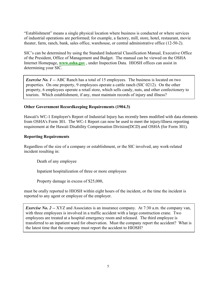"Establishment" means a single physical location where business is conducted or where services of industrial operations are performed; for example, a factory, mill, store, hotel, restaurant, movie theater, farm, ranch, bank, sales office, warehouse, or central administrative office (12-50-2).

SIC's can be determined by using the Standard Industrial Classification Manual, Executive Office of the President, Office of Management and Budget. The manual can be viewed on the OSHA Internet Homepage, **[www.osha.gov](http://www.osha.gov/oshstats/sicser.html)** , under Inspection Data. HIOSH offices can assist in determining your SIC.

*Exercise No. 1* -- ABC Ranch has a total of 15 employees. The business is located on two properties. On one property, 9 employees operate a cattle ranch (SIC 0212). On the other property, 6 employees operate a retail store, which sells candy, nuts, and other confectionery to tourists. Which establishment, if any, must maintain records of injury and illness?

# **Other Government Recordkeeping Requirements (1904.3)**

Hawaii's WC-1 Employer's Report of Industrial Injury has recently been modified with data elements from OSHA's Form 301. The WC-1 Report can now be used to meet the injury/illness reporting requirement at the Hawaii Disability Compensation Division(DCD) and OSHA (for Form 301).

# **Reporting Requirements**

Regardless of the size of a company or establishment, or the SIC involved, any work-related incident resulting in:

Death of any employee

Inpatient hospitalization of three or more employees

Property damage in excess of \$25,000,

must be orally reported to HIOSH within eight hours of the incident, or the time the incident is reported to any agent or employee of the employer.

*Exercise No. 2* -- XYZ and Associates is an insurance company. At 7:30 a.m. the company van, with three employees is involved in a traffic accident with a large construction crane. Two employees are treated at a hospital emergency room and released. The third employee is transferred to an inpatient ward for observation. Must the company report the accident? What is the latest time that the company must report the accident to HIOSH?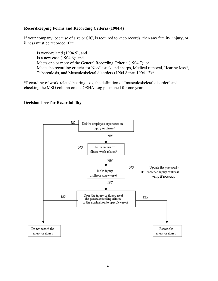# **Recordkeeping Forms and Recording Criteria (1904.4)**

If your company, because of size or SIC, is required to keep records, then any fatality, injury, or illness must be recorded if it:

Is work-related (1904.5); and Is a new case (1904.6); and Meets one or more of the General Recording Criteria (1904.7); or Meets the recording criteria for Needlestick and sharps, Medical removal, Hearing loss\*, Tuberculosis, and Musculoskeletal disorders (1904.8 thru 1904.12)\*

\*Recording of work-related hearing loss, the definition of "musculoskeletal disorder" and checking the MSD column on the OSHA Log postponed for one year.

## **Decision Tree for Recordability**

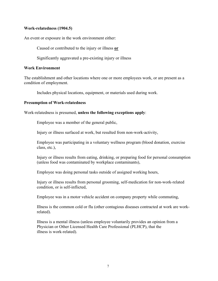# **Work-relatedness (1904.5)**

An event or exposure in the work environment either:

Caused or contributed to the injury or illness **or**

Significantly aggravated a pre-existing injury or illness

# **Work Environment**

The establishment and other locations where one or more employees work, or are present as a condition of employment.

Includes physical locations, equipment, or materials used during work.

# **Presumption of Work-relatedness**

Work-relatedness is presumed, **unless the following exceptions apply**:

Employee was a member of the general public,

Injury or illness surfaced at work, but resulted from non-work-activity,

Employee was participating in a voluntary wellness program (blood donation, exercise class, etc.),

Injury or illness results from eating, drinking, or preparing food for personal consumption (unless food was contaminated by workplace contaminants),

Employee was doing personal tasks outside of assigned working hours,

Injury or illness results from personal grooming, self-medication for non-work-related condition, or is self-inflicted,

Employee was in a motor vehicle accident on company property while commuting,

 Illness is the common cold or flu (other contagious diseases contracted at work are workrelated).

Illness is a mental illness (unless employee voluntarily provides an opinion from a Physician or Other Licensed Health Care Professional (PLHCP), that the illness is work-related).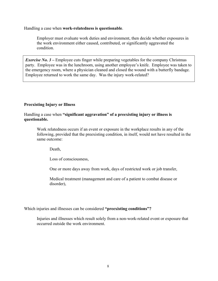Handling a case when **work-relatedness is questionable**.

Employer must evaluate work duties and environment, then decide whether exposures in the work environment either caused, contributed, or significantly aggravated the condition.

*Exercise No.* 3 – Employee cuts finger while preparing vegetables for the company Christmas party. Employee was in the lunchroom, using another employee's knife. Employee was taken to the emergency room, where a physician cleaned and closed the wound with a butterfly bandage. Employee returned to work the same day. Was the injury work-related?

# **Preexisting Injury or Illness**

# Handling a case when **"significant aggravation" of a preexisting injury or illness is questionable.**

Work relatedness occurs if an event or exposure in the workplace results in any of the following, provided that the preexisting condition, in itself, would not have resulted in the same outcome:

Death,

Loss of consciousness,

One or more days away from work, days of restricted work or job transfer,

Medical treatment (management and care of a patient to combat disease or disorder),

Which injuries and illnesses can be considered **"preexisting conditions"?**

Injuries and illnesses which result solely from a non-work-related event or exposure that occurred outside the work environment.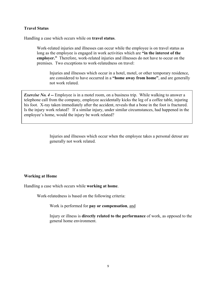# **Travel Status**

Handling a case which occurs while on **travel status**.

Work-related injuries and illnesses can occur while the employee is on travel status as long as the employee is engaged in work activities which are **"in the interest of the employer."** Therefore, work-related injuries and illnesses do not have to occur on the premises. Two exceptions to work-relatedness on travel:

 Injuries and illnesses which occur in a hotel, motel, or other temporary residence, are considered to have occurred in a **"home away from home"**, and are generally not work related.

*Exercise No.* 4 -- *Employee is in a motel room, on a business trip.* While walking to answer a telephone call from the company, employee accidentally kicks the leg of a coffee table, injuring his foot. X-ray taken immediately after the accident, reveals that a bone in the foot is fractured. Is the injury work related? If a similar injury, under similar circumstances, had happened in the employee's home, would the injury be work related?

> Injuries and illnesses which occur when the employee takes a personal detour are generally not work related.

## **Working at Home**

Handling a case which occurs while **working at home**.

Work-relatedness is based on the following criteria:

Work is performed for **pay or compensation**, and

Injury or illness is **directly related to the performance** of work, as opposed to the general home environment.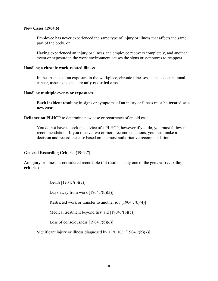### **New Cases (1904.6)**

Employee has never experienced the same type of injury or illness that affects the same part of the body, or

Having experienced an injury or illness, the employee recovers completely, and another event or exposure in the work environment causes the signs or symptoms to reappear.

### Handling a **chronic work-related illness**.

In the absence of an exposure in the workplace, chronic illnesses, such as occupational cancer, asbestosis, etc., are **only recorded once**.

#### Handling **multiple events or exposures**.

**Each incident** resulting in signs or symptoms of an injury or illness must be **treated as a new case**.

**Reliance on PLHCP** to determine new case or recurrence of an old case.

You do not have to seek the advice of a PLHCP, however if you do, you must follow the recommendation. If you receive two or more recommendations, you must make a decision and record the case based on the most authoritative recommendation.

## **General Recording Criteria (1904.7)**

An injury or illness is considered recordable if it results in any one of the **general recording criteria:**

Death [1904.7(b)(2)]

Days away from work  $[1904.7(b)(3)]$ 

Restricted work or transfer to another job [1904.7(b)(4)]

Medical treatment beyond first aid [1904.7(b)(5)]

Loss of consciousness  $[1904.7(b)(6)]$ 

Significant injury or illness diagnosed by a PLHCP [1904.7(b)(7)]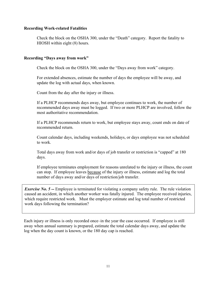## **Recording Work-related Fatalities**

Check the block on the OSHA 300, under the "Death" category. Report the fatality to HIOSH within eight (8) hours.

#### **Recording "Days away from work"**

Check the block on the OSHA 300, under the "Days away from work" category.

For extended absences, estimate the number of days the employee will be away, and update the log with actual days, when known.

Count from the day after the injury or illness.

If a PLHCP recommends days away, but employee continues to work, the number of recommended days away must be logged. If two or more PLHCP are involved, follow the most authoritative recommendation.

If a PLHCP recommends return to work, but employee stays away, count ends on date of recommended return.

Count calendar days, including weekends, holidays, or days employee was not scheduled to work.

Total days away from work and/or days of job transfer or restriction is "capped" at 180 days.

If employee terminates employment for reasons unrelated to the injury or illness, the count can stop. If employee leaves because of the injury or illness, estimate and log the total number of days away and/or days of restriction/job transfer.

*Exercise No.* 5 -- *Employee* is terminated for violating a company safety rule. The rule violation caused an accident, in which another worker was fatally injured. The employee received injuries, which require restricted work. Must the employer estimate and log total number of restricted work days following the termination?

Each injury or illness is only recorded once–in the year the case occurred. If employee is still away when annual summary is prepared, estimate the total calendar days away, and update the log when the day count is known, or the 180 day cap is reached.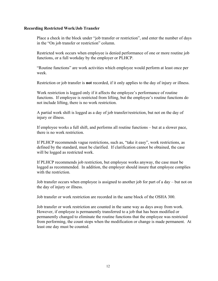## **Recording Restricted Work/Job Transfer**

Place a check in the block under "job transfer or restriction", and enter the number of days in the "On job transfer or restriction" column.

Restricted work occurs when employee is denied performance of one or more routine job functions, or a full workday by the employer or PLHCP.

"Routine functions" are work activities which employee would perform at least once per week.

Restriction or job transfer is **not** recorded, if it only applies to the day of injury or illness.

Work restriction is logged only if it affects the employee's performance of routine functions. If employee is restricted from lifting, but the employee's routine functions do not include lifting, there is no work restriction.

A partial work shift is logged as a day of job transfer/restriction, but not on the day of injury or illness.

If employee works a full shift, and performs all routine functions – but at a slower pace, there is no work restriction.

If PLHCP recommends vague restrictions, such as, "take it easy", work restrictions, as defined by the standard, must be clarified. If clarification cannot be obtained, the case will be logged as restricted work.

If PLHCP recommends job restriction, but employee works anyway, the case must be logged as recommended. In addition, the employer should insure that employee complies with the restriction.

Job transfer occurs when employee is assigned to another job for part of a day – but not on the day of injury or illness.

Job transfer or work restriction are recorded in the same block of the OSHA 300.

Job transfer or work restriction are counted in the same way as days away from work. However, if employee is permanently transferred to a job that has been modified or permanently changed to eliminate the routine functions that the employee was restricted from performing, the count stops when the modification or change is made permanent. At least one day must be counted.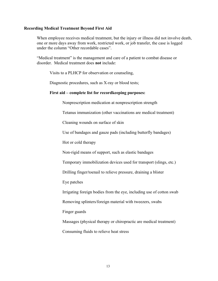#### **Recording Medical Treatment Beyond First Aid**

When employee receives medical treatment, but the injury or illness did not involve death, one or more days away from work, restricted work, or job transfer, the case is logged under the column "Other recordable cases".

"Medical treatment" is the management and care of a patient to combat disease or disorder. Medical treatment does **not** include:

Visits to a PLHCP for observation or counseling,

Diagnostic procedures, such as X-ray or blood tests;

#### **First aid – complete list for recordkeeping purposes:**

Nonprescription medication at nonprescription strength

Tetanus immunization (other vaccinations are medical treatment)

Cleaning wounds on surface of skin

Use of bandages and gauze pads (including butterfly bandages)

Hot or cold therapy

Non-rigid means of support, such as elastic bandages

Temporary immobilization devices used for transport (slings, etc.)

Drilling finger/toenail to relieve pressure, draining a blister

Eye patches

Irrigating foreign bodies from the eye, including use of cotton swab

Removing splinters/foreign material with tweezers, swabs

Finger guards

Massages (physical therapy or chiropractic are medical treatment)

Consuming fluids to relieve heat stress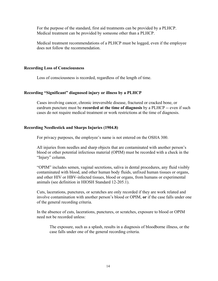For the purpose of the standard, first aid treatments can be provided by a PLHCP. Medical treatment can be provided by someone other than a PLHCP.

Medical treatment recommendations of a PLHCP must be logged, even if the employee does not follow the recommendation.

# **Recording Loss of Consciousness**

Loss of consciousness is recorded, regardless of the length of time.

# **Recording "Significant" diagnosed injury or illness by a PLHCP**

Cases involving cancer, chronic irreversible disease, fractured or cracked bone, or eardrum puncture must be **recorded at the time of diagnosis** by a PLHCP -- even if such cases do not require medical treatment or work restrictions at the time of diagnosis.

# **Recording Needlestick and Sharps Injuries (1904.8)**

For privacy purposes, the employee's name is not entered on the OSHA 300.

All injuries from needles and sharp objects that are contaminated with another person's blood or other potential infectious material (OPIM) must be recorded with a check in the "Injury" column.

"OPIM" includes semen, vaginal secretions, saliva in dental procedures, any fluid visibly contaminated with blood, and other human body fluids, unfixed human tissues or organs, and other HIV or HBV-infected tissues, blood or organs, from humans or experimental animals (see definition in HIOSH Standard 12-205.1).

Cuts, lacerations, punctures, or scratches are only recorded if they are work related and involve contamination with another person's blood or OPIM, **or** if the case falls under one of the general recording criteria.

In the absence of cuts, lacerations, punctures, or scratches, exposure to blood or OPIM need not be recorded unless:

The exposure, such as a splash, results in a diagnosis of bloodborne illness, or the case falls under one of the general recording criteria.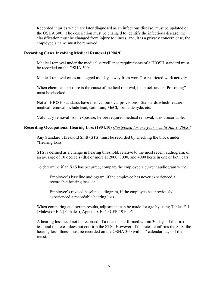Recorded injuries which are later diagnosed as an infectious disease, must be updated on the OSHA 300. The description must be changed to identify the infectious disease, the classification must be changed from injury to illness, and, it is a privacy concern case, the employee's name must be removed.

# **Recording Cases Involving Medical Removal (1904.9)**

Medical removal under the medical surveillance requirements of a HIOSH standard must be recorded on the OSHA 300.

Medical removal cases are logged as "days away from work" or restricted work activity.

When chemical exposure is the cause of medical removal, the block under "Poisoning" must be checked.

Not all HIOSH standards have medical removal provisions. Standards which feature medical removal include lead, cadmium, MeCl, formaldehyde, etc.

Voluntary removal from exposure, before required medical removal, is not recordable.

# **Recording Occupational Hearing Loss (1904.10)** *(Postponed for one year -- until Jan 1, 2003)*\*

Any Standard Threshold Shift (STS) must be recorded by checking the block under "Hearing Loss".

STS is defined as a change in hearing threshold, relative to the most recent audiogram, of an average of 10 decibels (dB) or more at 2000, 3000, and 4000 hertz in one or both ears.

To determine if an STS has occurred, compare the employee's current audiogram with:

Employee's baseline audiogram, if the employee has never experienced a recordable hearing loss, or

Employee's revised baseline audiogram, if the employee has previously experienced a recordable hearing loss.

When comparing audiogram results, adjustment can be made for age by using Tables F-1 (Males) or F-2 (Females), Appendix F, 29 CFR 1910.95.

A hearing loss need not be recorded, if a retest is performed within 30 days of the first test, and the retest does not confirm the STS. However, if the retest confirms the STS, the hearing loss illness must be recorded on the OSHA 300 within 7 calendar days of the retest.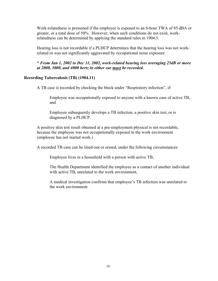Work-relatedness is presumed if the employee is exposed to an 8-hour TWA of 85 dBA or greater, or a total dose of 50%. However, when such conditions do not exist, workrelatedness can be determined by applying the standard rules in 1904.5.

Hearing loss is not recordable if a PLHCP determines that the hearing loss was not workrelated or was not significantly aggravated by occupational noise exposure.

*\* From Jan 1, 2002 to Dec 31, 2002, work-related hearing loss averaging 25dB or more at 2000, 3000, and 4000 hertz in either ear must be recorded.* 

# **Recording Tuberculosis (TB) (1904.11)**

A TB case is recorded by checking the block under "Respiratory infection", if:

Employee was occupationally exposed to anyone with a known case of active TB, and

Employee subsequently develops a TB infection, a positive skin test, or is diagnosed by a PLHCP.

A positive skin test result obtained at a pre-employment physical is not recordable, because the employee was not occupationally exposed in the work environment (employee has not started work.)

A recorded TB case can be lined-out or erased, under the following circumstances:

Employee lives in a household with a person with active TB,

The Health Department identified the employee as a contact of another individual with active TB, unrelated to the work environment,

A medical investigation confirms that employee's TB infection was unrelated to the work environment.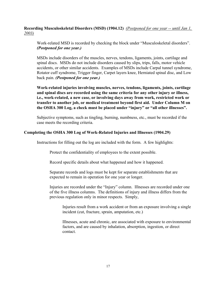**Recording Musculoskeletal Disorders (MSD) (1904.12)** *(Postponed for one year -- until Jan 1, 2003)*

Work-related MSD is recorded by checking the block under "Musculoskeletal disorders". *(Postponed for one year.)*

MSDs include disorders of the muscles, nerves, tendons, ligaments, joints, cartilage and spinal discs. MSDs do not include disorders caused by slips, trips, falls, motor vehicle accidents, or other similar accidents. Examples of MSDs include Carpal tunnel syndrome, Rotator cuff syndrome, Trigger finger, Carpet layers knee, Herniated spinal disc, and Low back pain. *(Postponed for one year.)*

**Work-related injuries involving muscles, nerves, tendons, ligaments, joints, cartilage and spinal discs are recorded using the same criteria for any other injury or illness, i.e., work-related, a new case, or involving days away from work, restricted work or transfer to another job, or medical treatment beyond first aid. Under Column M on the OSHA 300 Log, a check must be placed under "injury" or "all other illnesses".**

Subjective symptoms, such as tingling, burning, numbness, etc., must be recorded if the case meets the recording criteria.

# **Completing the OSHA 300 Log of Work-Related Injuries and Illnesses (1904.29)**

Instructions for filling out the log are included with the form. A few highlights:

Protect the confidentiality of employees to the extent possible.

Record specific details about what happened and how it happened.

Separate records and logs must be kept for separate establishments that are expected to remain in operation for one year or longer.

Injuries are recorded under the "Injury" column. Illnesses are recorded under one of the five illness columns. The definitions of injury and illness differs from the previous regulation only in minor respects. Simply,

Injuries result from a work accident or from an exposure involving a single incident (cut, fracture, sprain, amputation, etc.)

Illnesses, acute and chronic, are associated with exposure to environmental factors, and are caused by inhalation, absorption, ingestion, or direct contact.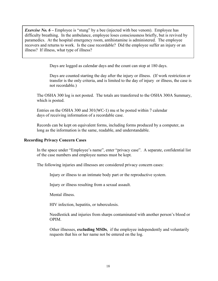*Exercise No.* 6 – Employee is "stung" by a bee (injected with bee venom). Employee has difficulty breathing. In the ambulance, employee loses consciousness briefly, but is revived by paramedics. At the hospital emergency room, antihistamine is administered. The employee recovers and returns to work. Is the case recordable? Did the employee suffer an injury or an illness? If illness, what type of illness?

Days are logged as calendar days and the count can stop at 180 days.

Days are counted starting the day after the injury or illness. (If work restriction or transfer is the only criteria, and is limited to the day of injury or illness, the case is not recordable.)

The OSHA 300 log is not posted. The totals are transferred to the OSHA 300A Summary, which is posted.

Entries on the OSHA 300 and 301(WC-1) mu st be posted within 7 calendar days of receiving information of a recordable case.

Records can be kept on equivalent forms, including forms produced by a computer, as long as the information is the same, readable, and understandable.

## **Recording Privacy Concern Cases**

In the space under "Employee's name", enter "privacy case". A separate, confidential list of the case numbers and employee names must be kept.

The following injuries and illnesses are considered privacy concern cases:

Injury or illness to an intimate body part or the reproductive system.

Injury or illness resulting from a sexual assault.

Mental illness.

HIV infection, hepatitis, or tuberculosis.

Needlestick and injuries from sharps contaminated with another person's blood or OPIM.

Other illnesses, **excluding MSDs**, if the employee independently and voluntarily requests that his or her name not be entered on the log.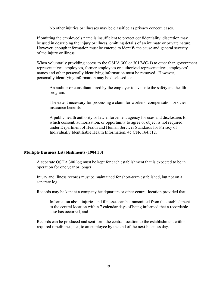No other injuries or illnesses may be classified as privacy concern cases.

If omitting the employee's name is insufficient to protect confidentiality, discretion may be used in describing the injury or illness, omitting details of an intimate or private nature. However, enough information must be entered to identify the cause and general severity of the injury or illness.

When voluntarily providing access to the OSHA 300 or 301(WC-1) to other than government representatives, employees, former employees or authorized representatives, employees' names and other personally identifying information must be removed. However, personally identifying information may be disclosed to:

An auditor or consultant hired by the employer to evaluate the safety and health program.

The extent necessary for processing a claim for workers' compensation or other insurance benefits.

A public health authority or law enforcement agency for uses and disclosures for which consent, authorization, or opportunity to agree or object is not required under Department of Health and Human Services Standards for Privacy of Individually Identifiable Health Information, 45 CFR 164.512.

## **Multiple Business Establishments (1904.30)**

A separate OSHA 300 log must be kept for each establishment that is expected to be in operation for one year or longer.

Injury and illness records must be maintained for short-term established, but not on a separate log.

Records may be kept at a company headquarters or other central location provided that:

Information about injuries and illnesses can be transmitted from the establishment to the central location within 7 calendar days of being informed that a recordable case has occurred, and

Records can be produced and sent form the central location to the establishment within required timeframes, i.e., to an employee by the end of the next business day.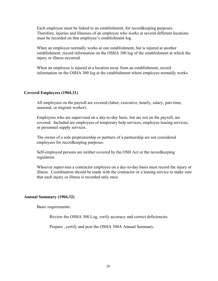Each employee must be linked to an establishment, for recordkeeping purposes. Therefore, injuries and illnesses of an employee who works at several different locations must be recorded on that employee's establishment log.

When an employee normally works at one establishment, but is injured at another establishment, record information on the OSHA 300 log of the establishment at which the injury or illness occurred.

When an employee is injured at a location away from an establishment, record information on the OSHA 300 log at the establishment where employee normally works.

#### **Covered Employees (1904.31)**

All employees on the payroll are covered (labor, executive, hourly, salary, part-time, seasonal, or migrant worker).

Employees who are supervised on a day-to-day basis, but are not on the payroll, are covered. Included are employees of temporary help services, employee leasing services, or personnel supply services.

The owner of a sole proprietorship or partners of a partnership are not considered employees for recordkeeping purposes.

Self-employed persons are neither covered by the OSH Act or the recordkeeping regulation.

Whoever supervises a contractor employee on a day-to-day basis must record the injury or illness. Coordination should be made with the contractor or a leasing service to make sure that each injury or illness is recorded only once.

## **Annual Summary (1904.32)**

Basic requirements:

Review the OSHA 300 Log, verify accuracy and correct deficiencies.

Prepare , certify and post the OSHA 300A Annual Summary.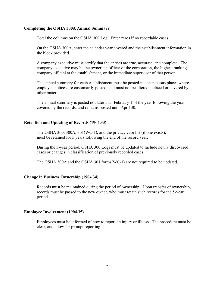### **Completing the OSHA 300A Annual Summary**

Total the columns on the OSHA 300 Log. Enter zeros if no recordable cases.

On the OSHA 300A, enter the calendar year covered and the establishment information in the block provided.

A company executive must certify that the entries are true, accurate, and complete. The company executive may be the owner, an officer of the corporation, the highest ranking company official at the establishment, or the immediate supervisor of that person.

The annual summary for each establishment must be posted in conspicuous places where employee notices are customarily posted, and must not be altered, defaced or covered by other material.

The annual summary is posted not later than February 1 of the year following the year covered by the records, and remains posted until April 30.

#### **Retention and Updating of Records (1904.33)**

The OSHA 300, 300A, 301(WC-1), and the privacy case list (if one exists), must be retained for 5 years following the end of the record year.

During the 5-year period, OSHA 300 Logs must be updated to include newly discovered cases or changes in classification of previously recorded cases.

The OSHA 300A and the OSHA 301 forms(WC-1) are not required to be updated.

#### **Change in Business Ownership (1904.34)**

Records must be maintained during the period of ownership. Upon transfer of ownership, records must be passed to the new owner, who must retain such records for the 5-year period.

#### **Employee Involvement (1904.35)**

Employees must be informed of how to report an injury or illness. The procedure must be clear, and allow for prompt reporting.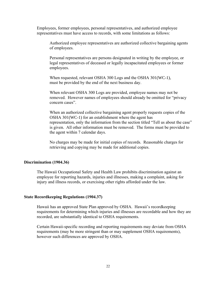Employees, former employees, personal representatives, and authorized employee representatives must have access to records, with some limitations as follows:

Authorized employee representatives are authorized collective bargaining agents of employees.

Personal representatives are persons designated in writing by the employee, or legal representatives of deceased or legally incapacitated employees or former employees.

When requested, relevant OSHA 300 Logs and the OSHA 301(WC-1), must be provided by the end of the next business day.

When relevant OSHA 300 Logs are provided, employee names may not be removed. However names of employees should already be omitted for "privacy concern cases".

When an authorized collective bargaining agent properly requests copies of the OSHA 301(WC-1) for an establishment where the agent has representation, only the information from the section titled "Tell us about the case" is given. All other information must be removed. The forms must be provided to the agent within 7 calendar days.

No charges may be made for initial copies of records. Reasonable charges for retrieving and copying may be made for additional copies.

## **Discrimination (1904.36)**

The Hawaii Occupational Safety and Health Law prohibits discrimination against an employee for reporting hazards, injuries and illnesses, making a complaint, asking for injury and illness records, or exercising other rights afforded under the law.

#### **State Recordkeeping Regulations (1904.37)**

Hawaii has an approved State Plan approved by OSHA. Hawaii's recordkeeping requirements for determining which injuries and illnesses are recordable and how they are recorded, are substantially identical to OSHA requirements.

Certain Hawaii-specific recording and reporting requirements may deviate from OSHA requirements (may be more stringent than or may supplement OSHA requirements), however such differences are approved by OSHA.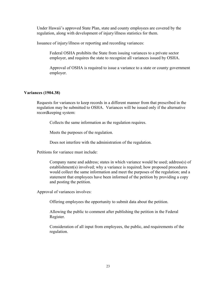Under Hawaii's approved State Plan, state and county employees are covered by the regulation, along with development of injury/illness statistics for them.

Issuance of injury/illness or reporting and recording variances:

Federal OSHA prohibits the State from issuing variances to a private sector employer, and requires the state to recognize all variances issued by OSHA.

Approval of OSHA is required to issue a variance to a state or county government employer.

# **Variances (1904.38)**

Requests for variances to keep records in a different manner from that prescribed in the regulation may be submitted to OSHA. Variances will be issued only if the alternative recordkeeping system:

Collects the same information as the regulation requires.

Meets the purposes of the regulation.

Does not interfere with the administration of the regulation.

Petitions for variance must include:

Company name and address; states in which variance would be used; address(s) of establishment(s) involved; why a variance is required; how proposed procedures would collect the same information and meet the purposes of the regulation; and a statement that employees have been informed of the petition by providing a copy and posting the petition.

Approval of variances involves:

Offering employees the opportunity to submit data about the petition.

Allowing the public to comment after publishing the petition in the Federal Register.

Consideration of all input from employees, the public, and requirements of the regulation.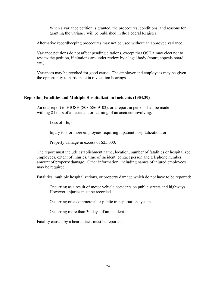When a variance petition is granted, the procedures, conditions, and reasons for granting the variance will be published in the Federal Register.

Alternative recordkeeping procedures may not be used without an approved variance.

Variance petitions do not affect pending citations, except that OSHA may elect not to review the petition, if citations are under review by a legal body (court, appeals board, etc.)

Variances may be revoked for good cause. The employer and employees may be given the opportunity to participate in revocation hearings.

# **Reporting Fatalities and Multiple Hospitalization Incidents (1904.39)**

An oral report to HIOSH (808-586-9102), or a report in person shall be made withing 8 hours of an accident or learning of an accident involving:

Loss of life; or

Injury to 3 or more employees requiring inpatient hospitalization; or

Property damage in excess of \$25,000.

The report must include establishment name, location, number of fatalities or hospitalized employees, extent of injuries, time of incident, contact person and telephone number, amount of property damage. Other information, including names of injured employees may be required.

Fatalities, multiple hospitalizations, or property damage which do not have to be reported:

Occurring as a result of motor vehicle accidents on public streets and highways. However, injuries must be recorded.

Occurring on a commercial or public transportation system.

Occurring more than 30 days of an incident.

Fatality caused by a heart attack must be reported.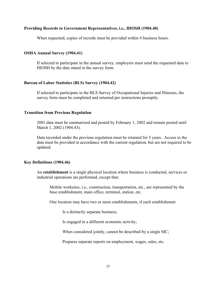#### **Providing Records to Government Representatives, i.e., HIOSH (1904.40)**

When requested, copies of records must be provided within 4 business hours.

### **OSHA Annual Survey (1904.41)**

If selected to participate in the annual survey, employers must send the requested data to HIOSH by the date stated in the survey form.

#### **Bureau of Labor Statistics (BLS) Survey (1904.42)**

If selected to participate in the BLS Survey of Occupational Injuries and Illnesses, the survey form must be completed and returned per instructions promptly.

#### **Transition from Previous Regulation**

2001 data must be summarized and posted by February 1, 2002 and remain posted until March 1, 2002 (1904.43).

Data recorded under the previous regulation must be retained for 5 years. Access to the data must be provided in accordance with the current regulation, but are not required to be updated.

## **Key Definitions (1904.46)**

An **establishment** is a single physical location where business is conducted, services or industrial operations are performed, except that:

Mobile worksites, i.e., construction, transportation, etc., are represented by the base establishment, main office, terminal, station, etc.

One location may have two or more establishments, if each establishment

Is a distinctly separate business;

Is engaged in a different economic activity;

When considered jointly, cannot be described by a single SIC;

Prepares separate reports on employment, wages, sales, etc.